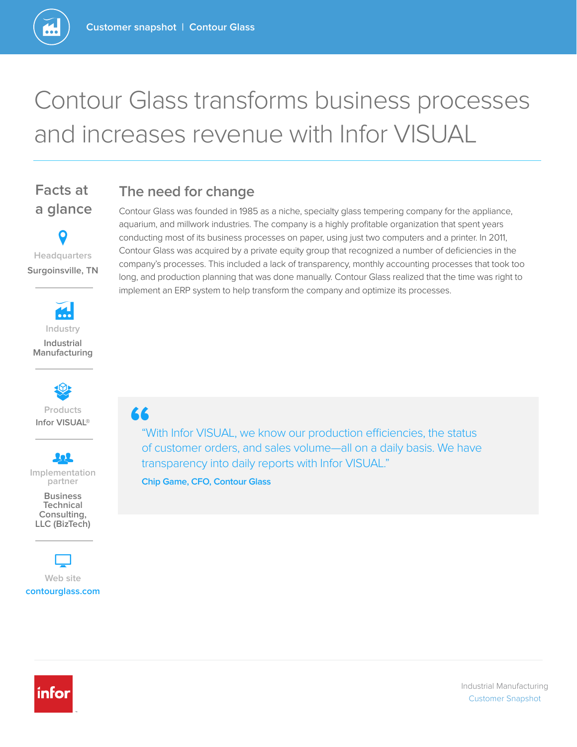# Contour Glass transforms business processes and increases revenue with Infor VISUAL

### **The need for change**

**Headquarters**

**Facts at** 

**a glance** 

**Surgoinsville, TN**



**Infor VISUAL® Products**

202 **Implementation partner**

**Business Technical Consulting, LLC (BizTech)** 

**Web site contourglass.com**

Contour Glass was founded in 1985 as a niche, specialty glass tempering company for the appliance, aquarium, and millwork industries. The company is a highly profitable organization that spent years conducting most of its business processes on paper, using just two computers and a printer. In 2011, Contour Glass was acquired by a private equity group that recognized a number of deficiencies in the company's processes. This included a lack of transparency, monthly accounting processes that took too long, and production planning that was done manually. Contour Glass realized that the time was right to implement an ERP system to help transform the company and optimize its processes.

**"**

"With Infor VISUAL, we know our production efficiencies, the status of customer orders, and sales volume—all on a daily basis. We have transparency into daily reports with Infor VISUAL."

**Chip Game, CFO, Contour Glass**

infor

Industrial Manufacturing Customer Snapshot